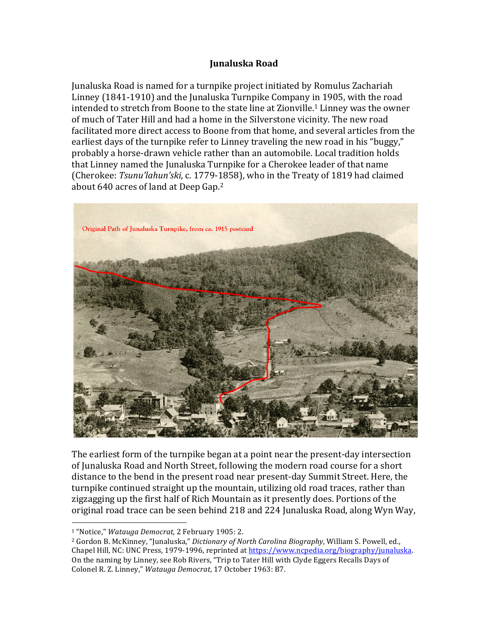## **Junaluska Road**

Junaluska Road is named for a turnpike project initiated by Romulus Zachariah Linney  $(1841-1910)$  and the Junaluska Turnpike Company in 1905, with the road intended to stretch from Boone to the state line at Zionville.<sup>1</sup> Linney was the owner of much of Tater Hill and had a home in the Silverstone vicinity. The new road facilitated more direct access to Boone from that home, and several articles from the earliest days of the turnpike refer to Linney traveling the new road in his "buggy," probably a horse-drawn vehicle rather than an automobile. Local tradition holds that Linney named the Junaluska Turnpike for a Cherokee leader of that name (Cherokee: Tsunu'lahun'ski, c. 1779-1858), who in the Treaty of 1819 had claimed about 640 acres of land at Deep Gap.<sup>2</sup>



The earliest form of the turnpike began at a point near the present-day intersection of Junaluska Road and North Street, following the modern road course for a short distance to the bend in the present road near present-day Summit Street. Here, the turnpike continued straight up the mountain, utilizing old road traces, rather than zigzagging up the first half of Rich Mountain as it presently does. Portions of the original road trace can be seen behind 218 and 224 Junaluska Road, along Wyn Way,

 

<sup>&</sup>lt;sup>1</sup> "Notice," *Watauga Democrat*, 2 February 1905: 2.

<sup>&</sup>lt;sup>2</sup> Gordon B. McKinney, "Junaluska," *Dictionary of North Carolina Biography*, William S. Powell, ed., Chapel Hill, NC: UNC Press, 1979-1996, reprinted at https://www.ncpedia.org/biography/junaluska. On the naming by Linney, see Rob Rivers, "Trip to Tater Hill with Clyde Eggers Recalls Days of Colonel R. Z. Linney," Watauga Democrat, 17 October 1963: B7.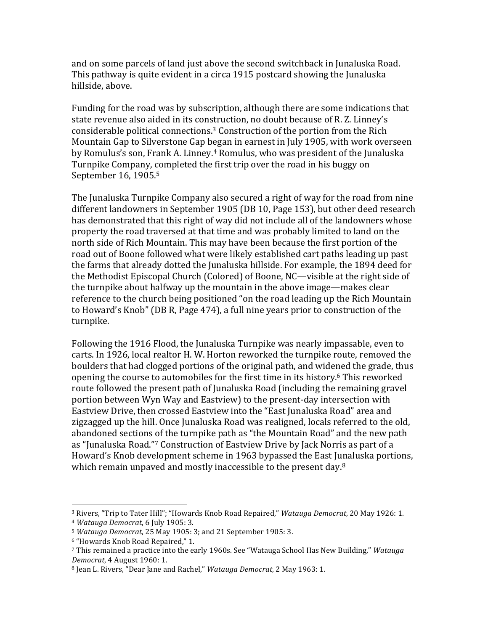and on some parcels of land just above the second switchback in Junaluska Road. This pathway is quite evident in a circa 1915 postcard showing the Junaluska hillside, above.

Funding for the road was by subscription, although there are some indications that state revenue also aided in its construction, no doubt because of R. Z. Linney's considerable political connections.<sup>3</sup> Construction of the portion from the Rich Mountain Gap to Silverstone Gap began in earnest in July 1905, with work overseen by Romulus's son, Frank A. Linney.<sup>4</sup> Romulus, who was president of the Junaluska Turnpike Company, completed the first trip over the road in his buggy on September 16, 1905.<sup>5</sup>

The Junaluska Turnpike Company also secured a right of way for the road from nine different landowners in September 1905 (DB 10, Page 153), but other deed research has demonstrated that this right of way did not include all of the landowners whose property the road traversed at that time and was probably limited to land on the north side of Rich Mountain. This may have been because the first portion of the road out of Boone followed what were likely established cart paths leading up past the farms that already dotted the Junaluska hillside. For example, the 1894 deed for the Methodist Episcopal Church (Colored) of Boone, NC—visible at the right side of the turnpike about halfway up the mountain in the above image—makes clear reference to the church being positioned "on the road leading up the Rich Mountain to Howard's Knob" (DB R, Page 474), a full nine years prior to construction of the turnpike. 

Following the 1916 Flood, the Junaluska Turnpike was nearly impassable, even to carts. In 1926, local realtor H. W. Horton reworked the turnpike route, removed the boulders that had clogged portions of the original path, and widened the grade, thus opening the course to automobiles for the first time in its history.<sup>6</sup> This reworked route followed the present path of Junaluska Road (including the remaining gravel portion between Wyn Way and Eastview) to the present-day intersection with Eastview Drive, then crossed Eastview into the "East Junaluska Road" area and zigzagged up the hill. Once Junaluska Road was realigned, locals referred to the old, abandoned sections of the turnpike path as "the Mountain Road" and the new path as "Junaluska Road."<sup>7</sup> Construction of Eastview Drive by Jack Norris as part of a Howard's Knob development scheme in 1963 bypassed the East Junaluska portions, which remain unpaved and mostly inaccessible to the present day. $8$ 

 

<sup>&</sup>lt;sup>3</sup> Rivers, "Trip to Tater Hill"; "Howards Knob Road Repaired," *Watauga Democrat*, 20 May 1926: 1.

<sup>&</sup>lt;sup>4</sup> *Watauga Democrat*, 6 July 1905: 3.

<sup>&</sup>lt;sup>5</sup> *Watauga Democrat*, 25 May 1905: 3; and 21 September 1905: 3.

<sup>&</sup>lt;sup>6</sup> "Howards Knob Road Repaired," 1.

<sup>&</sup>lt;sup>7</sup> This remained a practice into the early 1960s. See "Watauga School Has New Building," *Watauga Democrat*, 4 August 1960: 1.

<sup>&</sup>lt;sup>8</sup> Jean L. Rivers, "Dear Jane and Rachel," *Watauga Democrat*, 2 May 1963: 1.